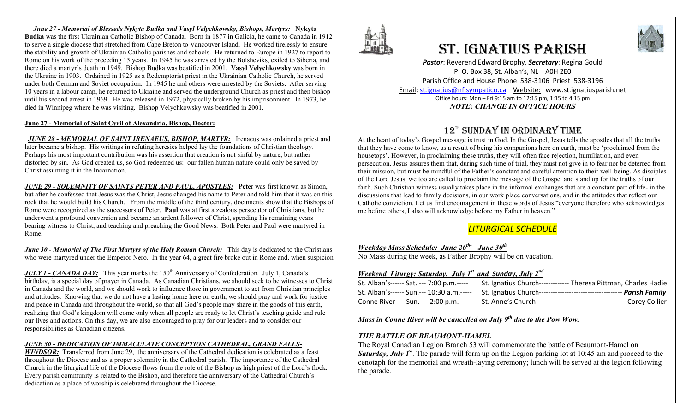*June 27 - Memorial of Blesseds Nykyta Budka and Vasyl Velychkowsky, Bishops, Martyrs:* **Nykyta Budka** was the first Ukrainian Catholic Bishop of Canada. Born in 1877 in Galicia, he came to Canada in 1912 to serve a single diocese that stretched from Cape Breton to Vancouver Island. He worked tirelessly to ensure the stability and growth of Ukrainian Catholic parishes and schools. He returned to Europe in 1927 to report to Rome on his work of the preceding 15 years. In 1945 he was arrested by the Bolsheviks, exiled to Siberia, and there died a martyr's death in 1949. Bishop Budka was beatified in 2001. **Vasyl Velychkowsky** was born in the Ukraine in 1903. Ordained in 1925 as a Redemptorist priest in the Ukrainian Catholic Church, he served under both German and Soviet occupation. In 1945 he and others were arrested by the Soviets. After serving 10 years in a labour camp, he returned to Ukraine and served the underground Church as priest and then bishop until his second arrest in 1969. He was released in 1972, physically broken by his imprisonment. In 1973, he died in Winnipeg where he was visiting. Bishop Velychkowsky was beatified in 2001.

#### **June 27 - Memorial of Saint Cyril of Alexandria, Bishop, Doctor:**

 *JUNE 28 - MEMORIAL OF SAINT IRENAEUS, BISHOP, MARTYR:*Irenaeus was ordained a priest and later became a bishop. His writings in refuting heresies helped lay the foundations of Christian theology. Perhaps his most important contribution was his assertion that creation is not sinful by nature, but rather distorted by sin. As God created us, so God redeemed us: our fallen human nature could only be saved by Christ assuming it in the Incarnation.

*JUNE 29 - SOLEMNITY OF SAINTS PETER AND PAUL, APOSTLES:* **Pete**r was first known as Simon, but after he confessed that Jesus was the Christ, Jesus changed his name to Peter and told him that it was on this rock that he would build his Church. From the middle of the third century, documents show that the Bishops of Rome were recognized as the successors of Peter. **Paul** was at first a zealous persecutor of Christians, but he underwent a profound conversion and became an ardent follower of Christ, spending his remaining years bearing witness to Christ, and teaching and preaching the Good News. Both Peter and Paul were martyred in Rome.

*June 30 - Memorial of The First Martyrs of the Holy Roman Church:* This day is dedicated to the Christians who were martyred under the Emperor Nero. In the year 64, a great fire broke out in Rome and, when suspicion

*JULY 1 - CANADA DAY:* This year marks the 150<sup>th</sup> Anniversary of Confederation. July 1, Canada's birthday, is a special day of prayer in Canada. As Canadian Christians, we should seek to be witnesses to Christ in Canada and the world, and we should work to influence those in government to act from Christian principles and attitudes. Knowing that we do not have a lasting home here on earth, we should pray and work for justice and peace in Canada and throughout the world, so that all God's people may share in the goods of this earth, realizing that God's kingdom will come only when all people are ready to let Christ's teaching guide and rule our lives and actions. On this day, we are also encouraged to pray for our leaders and to consider our responsibilities as Canadian citizens.

## *JUNE 30 - DEDICATION OF IMMACULATE CONCEPTION CATHEDRAL, GRAND FALLS-*

*WINDSOR:* Transferred from June 29, the anniversary of the Cathedral dedication is celebrated as a feast throughout the Diocese and as a proper solemnity in the Cathedral parish. The importance of the Cathedral Church in the liturgical life of the Diocese flows from the role of the Bishop as high priest of the Lord's flock. Every parish community is related to the Bishop, and therefore the anniversary of the Cathedral Church's dedication as a place of worship is celebrated throughout the Diocese.



# St. IgnatIuS parISh

*Pastor*: Reverend Edward Brophy, *Secretary*: Regina Gould P. O. Box 38, St. Alban's, NL A0H 2E0 Parish Office and House Phone 538-3106 Priest 538-3196 Email[: st.ignatius@nf.sympatico.ca](mailto:st.ignatius@nf.sympatico.ca) Website: www.st.ignatiusparish.net Office hours: Mon – Fri 9:15 am to 12:15 pm, 1:15 to 4:15 pm *NOTE: CHANGE IN OFFICE HOURS*



At the heart of today's Gospel message is trust in God. In the Gospel, Jesus tells the apostles that all the truths that they have come to know, as a result of being his companions here on earth, must be 'proclaimed from the housetops'. However, in proclaiming these truths, they will often face rejection, humiliation, and even persecution. Jesus assures them that, during such time of trial, they must not give in to fear nor be deterred from their mission, but must be mindful of the Father's constant and careful attention to their well-being. As disciples of the Lord Jesus, we too are called to proclaim the message of the Gospel and stand up for the truths of our faith. Such Christian witness usually takes place in the informal exchanges that are a constant part of life- in the discussions that lead to family decisions, in our work place conversations, and in the attitudes that reflect our Catholic conviction. Let us find encouragement in these words of Jesus "everyone therefore who acknowledges me before others, I also will acknowledge before my Father in heaven."

## *LITURGICAL SCHEDULE*

*Weekday Mass Schedule: June 26th- June 30th*

No Mass during the week, as Father Brophy will be on vacation.

## *Weekend Liturgy: Saturday, July 1st and Sunday, July 2nd*

| St. Alban's------ Sat. --- 7:00 p.m.----- | St. Ignatius Church------------- Theresa Pittman, Charles Hadie |
|-------------------------------------------|-----------------------------------------------------------------|
| St. Alban's------ Sun.--- 10:30 a.m.----- |                                                                 |
| Conne River---- Sun. --- 2:00 p.m.-----   |                                                                 |

*Mass in Conne River will be cancelled on July 9th due to the Pow Wow.*

#### *THE BATTLE OF BEAUMONT-HAMEL*

The Royal Canadian Legion Branch 53 will commemorate the battle of Beaumont-Hamel on *Saturday, July 1<sup>st</sup>*. The parade will form up on the Legion parking lot at 10:45 am and proceed to the cenotaph for the memorial and wreath-laying ceremony; lunch will be served at the legion following the parade.